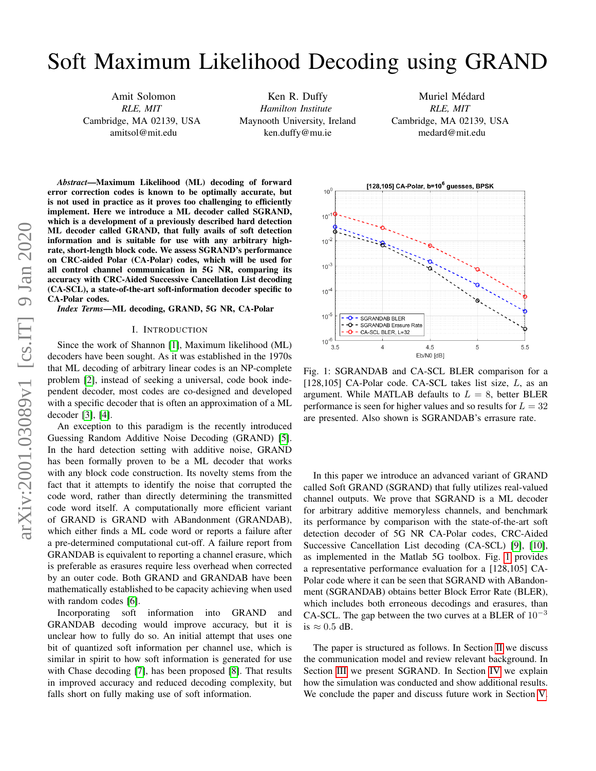# Soft Maximum Likelihood Decoding using GRAND

Amit Solomon *RLE, MIT* Cambridge, MA 02139, USA amitsol@mit.edu

Ken R. Duffy *Hamilton Institute* Maynooth University, Ireland ken.duffy@mu.ie

Muriel Médard *RLE, MIT* Cambridge, MA 02139, USA medard@mit.edu

*Abstract*—Maximum Likelihood (ML) decoding of forward error correction codes is known to be optimally accurate, but is not used in practice as it proves too challenging to efficiently implement. Here we introduce a ML decoder called SGRAND, which is a development of a previously described hard detection ML decoder called GRAND, that fully avails of soft detection information and is suitable for use with any arbitrary highrate, short-length block code. We assess SGRAND's performance on CRC-aided Polar (CA-Polar) codes, which will be used for all control channel communication in 5G NR, comparing its accuracy with CRC-Aided Successive Cancellation List decoding (CA-SCL), a state-of-the-art soft-information decoder specific to CA-Polar codes.

*Index Terms*—ML decoding, GRAND, 5G NR, CA-Polar

#### I. INTRODUCTION

Since the work of Shannon [\[1\]](#page-5-0), Maximum likelihood (ML) decoders have been sought. As it was established in the 1970s that ML decoding of arbitrary linear codes is an NP-complete problem [\[2\]](#page-5-1), instead of seeking a universal, code book independent decoder, most codes are co-designed and developed with a specific decoder that is often an approximation of a ML decoder [\[3\]](#page-5-2), [\[4\]](#page-5-3).

An exception to this paradigm is the recently introduced Guessing Random Additive Noise Decoding (GRAND) [\[5\]](#page-5-4). In the hard detection setting with additive noise, GRAND has been formally proven to be a ML decoder that works with any block code construction. Its novelty stems from the fact that it attempts to identify the noise that corrupted the code word, rather than directly determining the transmitted code word itself. A computationally more efficient variant of GRAND is GRAND with ABandonment (GRANDAB), which either finds a ML code word or reports a failure after a pre-determined computational cut-off. A failure report from GRANDAB is equivalent to reporting a channel erasure, which is preferable as erasures require less overhead when corrected by an outer code. Both GRAND and GRANDAB have been mathematically established to be capacity achieving when used with random codes [\[6\]](#page-5-5).

Incorporating soft information into GRAND and GRANDAB decoding would improve accuracy, but it is unclear how to fully do so. An initial attempt that uses one bit of quantized soft information per channel use, which is similar in spirit to how soft information is generated for use with Chase decoding [\[7\]](#page-5-6), has been proposed [\[8\]](#page-5-7). That results in improved accuracy and reduced decoding complexity, but falls short on fully making use of soft information.

<span id="page-0-0"></span>

Fig. 1: SGRANDAB and CA-SCL BLER comparison for a [128,105] CA-Polar code. CA-SCL takes list size,  $L$ , as an argument. While MATLAB defaults to  $L = 8$ , better BLER performance is seen for higher values and so results for  $L = 32$ are presented. Also shown is SGRANDAB's errasure rate.

In this paper we introduce an advanced variant of GRAND called Soft GRAND (SGRAND) that fully utilizes real-valued channel outputs. We prove that SGRAND is a ML decoder for arbitrary additive memoryless channels, and benchmark its performance by comparison with the state-of-the-art soft detection decoder of 5G NR CA-Polar codes, CRC-Aided Successive Cancellation List decoding (CA-SCL) [\[9\]](#page-5-8), [\[10\]](#page-5-9), as implemented in the Matlab 5G toolbox. Fig. [1](#page-0-0) provides a representative performance evaluation for a [128,105] CA-Polar code where it can be seen that SGRAND with ABandonment (SGRANDAB) obtains better Block Error Rate (BLER), which includes both erroneous decodings and erasures, than CA-SCL. The gap between the two curves at a BLER of  $10^{-3}$ is  $\approx 0.5$  dB.

The paper is structured as follows. In Section [II](#page-1-0) we discuss the communication model and review relevant background. In Section [III](#page-1-1) we present SGRAND. In Section [IV](#page-4-0) we explain how the simulation was conducted and show additional results. We conclude the paper and discuss future work in Section [V.](#page-5-10)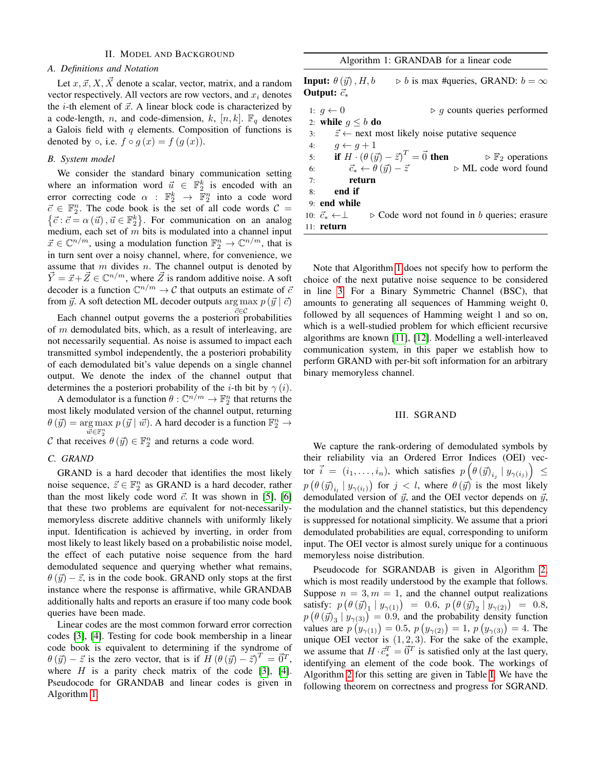# II. MODEL AND BACKGROUND

# <span id="page-1-0"></span>*A. Definitions and Notation*

Let  $x, \vec{x}, X, \vec{X}$  denote a scalar, vector, matrix, and a random vector respectively. All vectors are row vectors, and  $x_i$  denotes the *i*-th element of  $\vec{x}$ . A linear block code is characterized by a code-length, n, and code-dimension, k,  $[n, k]$ .  $\mathbb{F}_q$  denotes a Galois field with  $q$  elements. Composition of functions is denoted by  $\circ$ , i.e.  $f \circ g(x) = f(g(x))$ .

# *B. System model*

We consider the standard binary communication setting where an information word  $\vec{u} \in \mathbb{F}_2^k$  is encoded with an error correcting code  $\alpha$  :  $\mathbb{F}_2^k$   $\rightarrow$   $\mathbb{F}_2^n$  into a code word  $\vec{c} \in \mathbb{F}_2^n$ . The code book is the set of all code words  $\mathcal{C} =$  $\{\vec{c} : \vec{c} = \alpha(\vec{u}), \vec{u} \in \mathbb{F}_2^k\}$ . For communication on an analog medium, each set of  $m$  bits is modulated into a channel input  $\vec{x} \in \mathbb{C}^{n/m}$ , using a modulation function  $\mathbb{F}_2^n \to \mathbb{C}^{n/m}$ , that is in turn sent over a noisy channel, where, for convenience, we assume that  $m$  divides  $n$ . The channel output is denoted by  $\vec{Y} = \vec{x} + \vec{Z} \in \mathbb{C}^{n/m}$ , where  $\vec{Z}$  is random additive noise. A soft decoder is a function  $\mathbb{C}^{n/m} \to \mathcal{C}$  that outputs an estimate of  $\bar{c}$ from  $\vec{y}$ . A soft detection ML decoder outputs arg max  $p(\vec{y} | \vec{c})$ 

 $\vec{c} ∈ \mathcal{C}$ Each channel output governs the a posteriori probabilities of  $m$  demodulated bits, which, as a result of interleaving, are not necessarily sequential. As noise is assumed to impact each transmitted symbol independently, the a posteriori probability of each demodulated bit's value depends on a single channel output. We denote the index of the channel output that determines the a posteriori probability of the *i*-th bit by  $\gamma(i)$ .

A demodulator is a function  $\theta : \mathbb{C}^{n/m} \to \mathbb{F}_2^n$  that returns the most likely modulated version of the channel output, returning  $\theta(\vec{y}) = \arg \max p(\vec{y} | \vec{w})$ . A hard decoder is a function  $\mathbb{F}_2^n \to$  $\breve{\vec{w}} \in \mathbb{F}_2^n$ C that receives  $\theta(\vec{y}) \in \mathbb{F}_2^n$  and returns a code word.

## *C. GRAND*

GRAND is a hard decoder that identifies the most likely noise sequence,  $\vec{z} \in \mathbb{F}_2^n$  as GRAND is a hard decoder, rather than the most likely code word  $\vec{c}$ . It was shown in [\[5\]](#page-5-4), [\[6\]](#page-5-5) that these two problems are equivalent for not-necessarilymemoryless discrete additive channels with uniformly likely input. Identification is achieved by inverting, in order from most likely to least likely based on a probabilistic noise model, the effect of each putative noise sequence from the hard demodulated sequence and querying whether what remains,  $\theta(\vec{y}) - \vec{z}$ , is in the code book. GRAND only stops at the first instance where the response is affirmative, while GRANDAB additionally halts and reports an erasure if too many code book queries have been made.

Linear codes are the most common forward error correction codes [\[3\]](#page-5-2), [\[4\]](#page-5-3). Testing for code book membership in a linear code book is equivalent to determining if the syndrome of  $\theta(\vec{y}) - \vec{z}$  is the zero vector, that is if  $H (\theta(\vec{y}) - \vec{z})^T = \vec{0}^T$ , where  $H$  is a parity check matrix of the code [\[3\]](#page-5-2), [\[4\]](#page-5-3). Pseudocode for GRANDAB and linear codes is given in Algorithm [1.](#page-1-2)

<span id="page-1-2"></span>

| Algorithm 1: GRANDAB for a linear code                                                                                   |  |  |  |  |  |
|--------------------------------------------------------------------------------------------------------------------------|--|--|--|--|--|
| <b>Input:</b> $\theta(\vec{y})$ , H, b<br>$\triangleright$ b is max #queries, GRAND: $b = \infty$<br>Output: $\vec{c}_*$ |  |  |  |  |  |
| $\triangleright$ q counts queries performed<br>1: $q \leftarrow 0$                                                       |  |  |  |  |  |
| 2: while $q \leq b$ do                                                                                                   |  |  |  |  |  |
| $\vec{z} \leftarrow$ next most likely noise putative sequence<br>3:                                                      |  |  |  |  |  |
| 4: $q \leftarrow q + 1$                                                                                                  |  |  |  |  |  |
| 5: if $H \cdot (\theta(\vec{y}) - \vec{z})^T = \vec{0}$ then<br>$\triangleright \mathbb{F}_2$ operations                 |  |  |  |  |  |
| 6: $\vec{c}_* \leftarrow \theta(\vec{y}) - \vec{z}$<br>$\triangleright$ ML code word found                               |  |  |  |  |  |
| $7:$ return                                                                                                              |  |  |  |  |  |
| end if<br>8 <sup>1</sup>                                                                                                 |  |  |  |  |  |
| 9: end while                                                                                                             |  |  |  |  |  |
| 10: $\vec{c}_* \leftarrow \perp$ $\triangleright$ Code word not found in b queries; erasure                              |  |  |  |  |  |
| $11:$ return                                                                                                             |  |  |  |  |  |

 $A1 \sim 44 \sim 1$ : GRANDAB for a linear code  $\sim 10^{-4}$ 

Note that Algorithm [1](#page-1-2) does not specify how to perform the choice of the next putative noise sequence to be considered in line [3.](#page-1-2) For a Binary Symmetric Channel (BSC), that amounts to generating all sequences of Hamming weight 0, followed by all sequences of Hamming weight 1 and so on, which is a well-studied problem for which efficient recursive algorithms are known [\[11\]](#page-5-11), [\[12\]](#page-5-12). Modelling a well-interleaved communication system, in this paper we establish how to perform GRAND with per-bit soft information for an arbitrary binary memoryless channel.

## III. SGRAND

<span id="page-1-1"></span>We capture the rank-ordering of demodulated symbols by their reliability via an Ordered Error Indices (OEI) vector  $\vec{i}~=~(i_1,\ldots,i_n),$  which satisfies  $p\left(\theta\left(\vec{y}\right)_{i_j} \mid y_{\gamma(i_j)}\right)~\leq~$  $p\left(\theta(\vec{y})_{i_l} | y_{\gamma(i_l)}\right)$  for  $j < l$ , where  $\theta(\vec{y})$  is the most likely demodulated version of  $\vec{y}$ , and the OEI vector depends on  $\vec{y}$ , the modulation and the channel statistics, but this dependency is suppressed for notational simplicity. We assume that a priori demodulated probabilities are equal, corresponding to uniform input. The OEI vector is almost surely unique for a continuous memoryless noise distribution.

Pseudocode for SGRANDAB is given in Algorithm [2,](#page-2-0) which is most readily understood by the example that follows. Suppose  $n = 3, m = 1$ , and the channel output realizations satisfy:  $p\left(\theta\left(\vec{y}\right)_1 | y_{\gamma(1)}\right) = 0.6, p\left(\theta\left(\vec{y}\right)_2 | y_{\gamma(2)}\right) = 0.8,$  $p(\theta(\vec{y})_3 | y_{\gamma(3)}) = 0.9$ , and the probability density function values are  $p(y_{\gamma(1)}) = 0.5$ ,  $p(y_{\gamma(2)}) = 1$ ,  $p(y_{\gamma(3)}) = 4$ . The unique OEI vector is  $(1, 2, 3)$ . For the sake of the example, we assume that  $H \cdot \vec{c}_*^T = \vec{0}^T$  is satisfied only at the last query, identifying an element of the code book. The workings of Algorithm [2](#page-2-0) for this setting are given in Table [I.](#page-2-1) We have the following theorem on correctness and progress for SGRAND.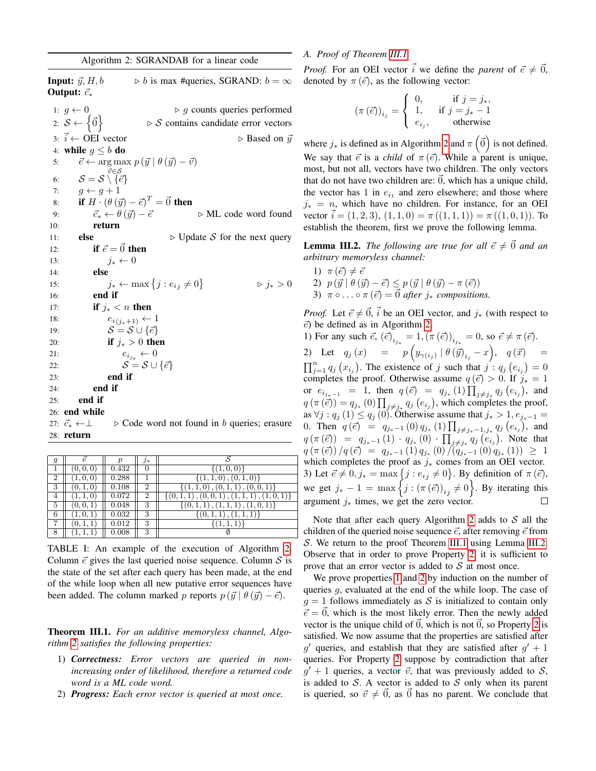<span id="page-2-0"></span>**Input:**  $\vec{y}$ ,  $H$ ,  $b \implies b$  is max #queries, SGRAND:  $b = \infty$ Output:  $\vec{c}_*$ 1:  $q \leftarrow 0$   $\rightarrow$  g counts queries performed 2:  $S \leftarrow {\{\vec{0}\}}$  $\triangleright$  S contains candidate error vectors 3:  $\vec{i}$  ← OEI vector  $\triangleright$  Based on  $\vec{y}$ 4: while  $g \leq b$  do 5:  $\vec{e} \leftarrow \arg \max p(\vec{y} \mid \theta(\vec{y}) - \vec{v})$ 6:  ${\cal S} = {\cal S} \setminus \{\vec{e}\}$ 7:  $g \leftarrow g + 1$ 8: if  $H \cdot (\theta(\vec{y}) - \vec{e})^T = \vec{0}$  then 9:  $\vec{c}_* \leftarrow \theta(\vec{y}) - \vec{e}$   $\triangleright$  ML code word found 10: return 11: **else**  $\triangleright$  Update S for the next query 12: if  $\vec{e} = \vec{0}$  then 13:  $j_* \leftarrow 0$ 14: else 15:  $j_* \leftarrow \max\left\{j : e_{ij} \neq 0\right\}$  $\triangleright j_* > 0$ 16: end if 17: **if**  $j_* < n$  then 18:  $e_{i(j_*+1)} \leftarrow 1$ 19:  $S = S \cup {\vec{e}}$ 20: **if**  $j_* > 0$  **then** 21:  $e_{i_{j*}} \leftarrow 0$ 22:  $\mathcal{S} = \mathcal{S} \cup \{\vec{e}\}\$ 23: end if 24: end if 25: end if 26: end while 27:  $\vec{c}_* \leftarrow \perp$  . Code word not found in b queries; erasure

| $28:$ return |
|--------------|
|              |

<span id="page-2-1"></span>

| g              |          |       | 7∗             |                                           |
|----------------|----------|-------|----------------|-------------------------------------------|
|                |          | 0.432 |                | $\{(1,0,0)\}\$                            |
| $\overline{2}$ |          | 0.288 |                | (1,1,0), (0,1,0)                          |
| 3              | (0, 1, 0 | 0.108 | $\overline{2}$ | $\{(1,1,0),(0,1,1),(0,0,1)\}\$            |
| 4              |          | 0.072 | $\overline{2}$ | $\{(0,1,1), (0,0,1), (1,1,1), (1,0,1)\}\$ |
| 5              |          | 0.048 | 3              | $\{(0,1,1),(1,\overline{1,1}),(1,0,1)\}\$ |
| 6              |          | 0.032 | 3              | (0,1,1), (1,1,1)                          |
| 7              |          | 0.012 | 3              | $\{(1,1,1)$                               |
| 8              |          | 0.008 | 3              |                                           |

TABLE I: An example of the execution of Algorithm [2.](#page-2-0) Column  $\vec{e}$  gives the last queried noise sequence. Column  $\vec{S}$  is the state of the set after each query has been made, at the end of the while loop when all new putative error sequences have been added. The column marked p reports  $p(\vec{y} | \theta(\vec{y}) - \vec{e})$ .

<span id="page-2-2"></span>Theorem III.1. *For an additive memoryless channel, Algorithm [2](#page-2-0) satisfies the following properties:*

- <span id="page-2-5"></span>1) *Correctness: Error vectors are queried in nonincreasing order of likelihood, therefore a returned code word is a ML code word.*
- <span id="page-2-4"></span>2) *Progress: Each error vector is queried at most once.*

# <span id="page-2-7"></span>*A. Proof of Theorem [III.1](#page-2-2)*

*Proof.* For an OEI vector  $\vec{i}$  we define the *parent* of  $\vec{e} \neq \vec{0}$ , denoted by  $\pi(\vec{e})$ , as the following vector:

$$
\left(\pi\left(\vec{e}\right)\right)_{i_j} = \begin{cases} 0, & \text{if } j = j_*, \\ 1, & \text{if } j = j_* - 1 \\ e_{i_j}, & \text{otherwise} \end{cases}
$$

where  $j_*$  is defined as in Algorithm [2](#page-2-0) and  $\pi(\vec{0})$  is not defined. We say that  $\vec{e}$  is a *child* of  $\pi(\vec{e})$ . While a parent is unique, most, but not all, vectors have two children. The only vectors that do not have two children are:  $\vec{0}$ , which has a unique child, the vector has 1 in  $e_{i_1}$  and zero elsewhere; and those where  $j_* = n$ , which have no children. For instance, for an OEI vector  $i = (1, 2, 3), (1, 1, 0) = \pi ((1, 1, 1)) = \pi ((1, 0, 1)).$  To establish the theorem, first we prove the following lemma.

<span id="page-2-3"></span>**Lemma III.2.** *The following are true for all*  $\vec{e} \neq \vec{0}$  *and an arbitrary memoryless channel:*

<span id="page-2-8"></span>\n- 1) 
$$
\pi(\vec{e}) \neq \vec{e}
$$
\n- 2)  $p(\vec{y} \mid \theta(\vec{y}) - \vec{e}) \leq p(\vec{y} \mid \theta(\vec{y}) - \pi(\vec{e}))$
\n- 3)  $\pi \circ \ldots \circ \pi(\vec{e}) = \vec{0}$  after  $j_*$  compositions.
\n

<span id="page-2-6"></span>*Proof.* Let  $\vec{e} \neq \vec{0}$ ,  $\vec{i}$  be an OEI vector, and  $j_*$  (with respect to  $\vec{e}$ ) be defined as in Algorithm [2.](#page-2-0)

1) For any such  $\vec{e}$ ,  $(\vec{e})_{i_{j*}} = 1, (\pi(\vec{e}))_{i_{j*}} = 0$ , so  $\vec{e} \neq \pi(\vec{e})$ . 2) Let  $q_j(x) = p(y_{\gamma(i_j)} | \theta(\vec{y})_{i_j} - x), q(\vec{x}) =$  $\prod_{j=1}^{n} q_j (x_{i_j})$ . The existence of j such that  $j : q_j (e_{i_j}) = 0$ completes the proof. Otherwise assume  $q(\vec{e}) > 0$ . If  $j_* = 1$ or  $e_{i_{j_*-1}} = 1$ , then  $q(\vec{e}) = q_{j_*}(1) \prod_{j \neq j_*} q_j(e_{i_j})$ , and  $q(\pi(\vec{e})) = q_{j_*}(0) \prod_{j \neq j_*} q_j(e_{i_j})$ , which completes the proof, as  $\forall j: q_j (1) \le q_j (0)$ . Otherwise assume that  $j_* > 1, e_{j_*-1} =$ 0. Then  $q(\vec{e}) = q_{j_*-1}(0) q_{j_*}(1) \prod_{j \neq j_*-1, j_*} q_j(e_{i_j}),$  and  $q(\pi(\vec{e})) = q_{j_*-1}(1) \cdot q_{j_*}(0) \cdot \prod_{j \neq j_*} q_j(e_{i_j}).$  Note that  $q\left(\pi\left(\vec{e}\right)\right)/q\left(\vec{e}\right) \;=\; q_{j_*-1}\left(1\right) q_{j_*}\left(0\right)/\left(q_{j_*-1}\left(0\right) q_{j_*}\left(1\right)\right) \;\geq\; 1$ which completes the proof as  $j_*$  comes from an OEI vector. 3) Let  $\vec{e} \neq 0, j_* = \max\{j : e_{ij} \neq 0\}$ . By definition of  $\pi(\vec{e})$ , we get  $j_* - 1 = \max \left\{ j : (\pi(\vec{e}))_{ij} \neq 0 \right\}$ . By iterating this argument  $j_*$  times, we get the zero vector.

Note that after each query Algorithm [2](#page-2-0) adds to  $S$  all the children of the queried noise sequence  $\vec{e}$ , after removing  $\vec{e}$  from S. We return to the proof Theorem [III.1](#page-2-2) using Lemma [III.2.](#page-2-3) Observe that in order to prove Property [2,](#page-2-4) it is sufficient to prove that an error vector is added to  $S$  at most once.

We prove properties [1](#page-2-5) and [2](#page-2-4) by induction on the number of queries  $g$ , evaluated at the end of the while loop. The case of  $g = 1$  follows immediately as S is initialized to contain only  $\vec{e} = \vec{0}$ , which is the most likely error. Then the newly added vector is the unique child of  $\vec{0}$ , which is not  $\vec{0}$ , so Property [2](#page-2-4) is satisfied. We now assume that the properties are satisfied after  $g'$  queries, and establish that they are satisfied after  $g' + 1$ queries. For Property [2](#page-2-4) suppose by contradiction that after  $g' + 1$  queries, a vector  $\vec{v}$ , that was previously added to S, is added to  $S$ . A vector is added to  $S$  only when its parent is queried, so  $\vec{v} \neq \vec{0}$ , as  $\vec{0}$  has no parent. We conclude that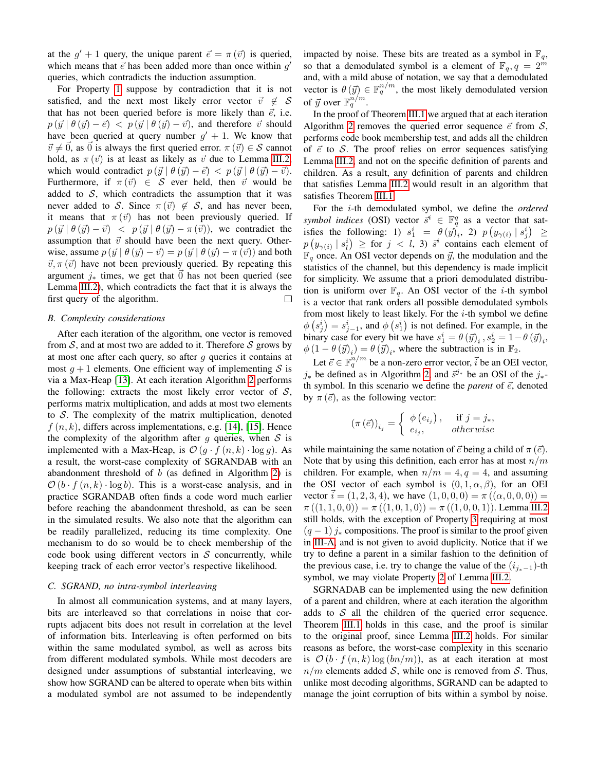at the  $g' + 1$  query, the unique parent  $\vec{e} = \pi (\vec{v})$  is queried, which means that  $\vec{e}$  has been added more than once within  $g'$ queries, which contradicts the induction assumption.

For Property [1](#page-2-5) suppose by contradiction that it is not satisfied, and the next most likely error vector  $\vec{v} \notin \mathcal{S}$ that has not been queried before is more likely than  $\vec{e}$ , i.e.  $p(\vec{y} | \theta(\vec{y}) - \vec{e}) < p(\vec{y} | \theta(\vec{y}) - \vec{v})$ , and therefore  $\vec{v}$  should have been queried at query number  $g' + 1$ . We know that  $\vec{v} \neq \vec{0}$ , as  $\vec{0}$  is always the first queried error.  $\pi (\vec{v}) \in \mathcal{S}$  cannot hold, as  $\pi(\vec{v})$  is at least as likely as  $\vec{v}$  due to Lemma [III.2,](#page-2-3) which would contradict  $p(\vec{y} | \theta(\vec{y}) - \vec{e}) < p(\vec{y} | \theta(\vec{y}) - \vec{v}).$ Furthermore, if  $\pi(\vec{v}) \in S$  ever held, then  $\vec{v}$  would be added to  $S$ , which contradicts the assumption that it was never added to S. Since  $\pi(\vec{v}) \notin S$ , and has never been, it means that  $\pi(\vec{v})$  has not been previously queried. If  $p(\vec{y} | \theta(\vec{y}) - \vec{v})$  <  $p(\vec{y} | \theta(\vec{y}) - \pi(\vec{v}))$ , we contradict the assumption that  $\vec{v}$  should have been the next query. Otherwise, assume  $p(\vec{y} | \theta(\vec{y}) - \vec{v}) = p(\vec{y} | \theta(\vec{y}) - \pi(\vec{v}))$  and both  $\vec{v}, \pi (\vec{v})$  have not been previously queried. By repeating this argument  $j_*$  times, we get that  $\vec{0}$  has not been queried (see Lemma [III.2\)](#page-2-3), which contradicts the fact that it is always the first query of the algorithm.  $\Box$ 

## <span id="page-3-0"></span>*B. Complexity considerations*

After each iteration of the algorithm, one vector is removed from  $S$ , and at most two are added to it. Therefore  $S$  grows by at most one after each query, so after  $q$  queries it contains at most  $g + 1$  elements. One efficient way of implementing S is via a Max-Heap [\[13\]](#page-5-13). At each iteration Algorithm [2](#page-2-0) performs the following: extracts the most likely error vector of  $S$ , performs matrix multiplication, and adds at most two elements to  $S$ . The complexity of the matrix multiplication, denoted  $f(n, k)$ , differs across implementations, e.g. [\[14\]](#page-5-14), [\[15\]](#page-5-15). Hence the complexity of the algorithm after  $g$  queries, when  $S$  is implemented with a Max-Heap, is  $\mathcal{O}(g \cdot f(n, k) \cdot \log g)$ . As a result, the worst-case complexity of SGRANDAB with an abandonment threshold of  $b$  (as defined in Algorithm [2\)](#page-2-0) is  $\mathcal{O}(b \cdot f(n, k) \cdot \log b)$ . This is a worst-case analysis, and in practice SGRANDAB often finds a code word much earlier before reaching the abandonment threshold, as can be seen in the simulated results. We also note that the algorithm can be readily parallelized, reducing its time complexity. One mechanism to do so would be to check membership of the code book using different vectors in  $S$  concurrently, while keeping track of each error vector's respective likelihood.

## *C. SGRAND, no intra-symbol interleaving*

In almost all communication systems, and at many layers, bits are interleaved so that correlations in noise that corrupts adjacent bits does not result in correlation at the level of information bits. Interleaving is often performed on bits within the same modulated symbol, as well as across bits from different modulated symbols. While most decoders are designed under assumptions of substantial interleaving, we show how SGRAND can be altered to operate when bits within a modulated symbol are not assumed to be independently impacted by noise. These bits are treated as a symbol in  $\mathbb{F}_q$ , so that a demodulated symbol is a element of  $\mathbb{F}_q$ ,  $q = 2^m$ and, with a mild abuse of notation, we say that a demodulated vector is  $\theta(\vec{y}) \in \mathbb{F}_q^{n/m}$ , the most likely demodulated version of  $\vec{y}$  over  $\mathbb{F}_q^{n/m}$ .

In the proof of Theorem [III.1](#page-2-2) we argued that at each iteration Algorithm [2](#page-2-0) removes the queried error sequence  $\vec{e}$  from  $\mathcal{S}$ , performs code book membership test, and adds all the children of  $\vec{e}$  to S. The proof relies on error sequences satisfying Lemma [III.2,](#page-2-3) and not on the specific definition of parents and children. As a result, any definition of parents and children that satisfies Lemma [III.2](#page-2-3) would result in an algorithm that satisfies Theorem [III.1.](#page-2-2)

For the i-th demodulated symbol, we define the *ordered symbol indices* (OSI) vector  $\overline{s}^i \in \mathbb{F}_q^q$  as a vector that satisfies the following: 1)  $s_1^i = \theta(\vec{y})_i^i$ , 2)  $p(y_{\gamma(i)} | s_j^i) \ge$  $p\left(y_{\gamma(i)} \mid s_i^i\right) \geq \text{ for } j \, < \, l, \, 3) \, \, \bar{s}^i \,$  contains each element of  $\mathbb{F}_q$  once. An OSI vector depends on  $\vec{y}$ , the modulation and the statistics of the channel, but this dependency is made implicit for simplicity. We assume that a priori demodulated distribution is uniform over  $\mathbb{F}_q$ . An OSI vector of the *i*-th symbol is a vector that rank orders all possible demodulated symbols from most likely to least likely. For the  $i$ -th symbol we define  $\phi\left(s_j^i\right) = s_{j-1}^i$ , and  $\phi\left(s_1^i\right)$  is not defined. For example, in the binary case for every bit we have  $s_1^i = \theta(\vec{y})_i$ ,  $s_2^i = 1 - \theta(\vec{y})_i$ ,  $\phi(1 - \theta(\vec{y})_i) = \theta(\vec{y})_i$ , where the subtraction is in  $\mathbb{F}_2$ .

Let  $\vec{e} \in \mathbb{F}_q^{n/m}$  be a non-zero error vector,  $\vec{i}$  be an OEI vector,  $j_*$  be defined as in Algorithm [2,](#page-2-0) and  $\vec{s}^{j*}$  be an OSI of the  $j_*$ th symbol. In this scenario we define the *parent* of  $\vec{e}$ , denoted by  $\pi(\vec{e})$ , as the following vector:

$$
\left(\pi\left(\vec{e}\right)\right)_{i_j} = \begin{cases} \phi\left(e_{i_j}\right), & \text{if } j = j_*,\\ e_{i_j}, & \text{otherwise} \end{cases}
$$

while maintaining the same notation of  $\vec{e}$  being a child of  $\pi$  ( $\vec{e}$ ). Note that by using this definition, each error has at most  $n/m$ children. For example, when  $n/m = 4$ ,  $q = 4$ , and assuming the OSI vector of each symbol is  $(0, 1, \alpha, \beta)$ , for an OEI vector  $i = (1, 2, 3, 4)$ , we have  $(1, 0, 0, 0) = \pi ((\alpha, 0, 0, 0)) =$  $\pi((1, 1, 0, 0)) = \pi((1, 0, 1, 0)) = \pi((1, 0, 0, 1)).$  Lemma [III.2](#page-2-3) still holds, with the exception of Property [3](#page-2-6) requiring at most  $(q - 1) j_*$  compositions. The proof is similar to the proof given in [III-A,](#page-2-7) and is not given to avoid duplicity. Notice that if we try to define a parent in a similar fashion to the definition of the previous case, i.e. try to change the value of the  $(i_{i_*-1})$ -th symbol, we may violate Property [2](#page-2-8) of Lemma [III.2.](#page-2-3)

SGRNADAB can be implemented using the new definition of a parent and children, where at each iteration the algorithm adds to  $S$  all the children of the queried error sequence. Theorem [III.1](#page-2-2) holds in this case, and the proof is similar to the original proof, since Lemma [III.2](#page-2-3) holds. For similar reasons as before, the worst-case complexity in this scenario is  $\mathcal{O}(b \cdot f(n,k) \log (bn/m))$ , as at each iteration at most  $n/m$  elements added S, while one is removed from S. Thus, unlike most decoding algorithms, SGRAND can be adapted to manage the joint corruption of bits within a symbol by noise.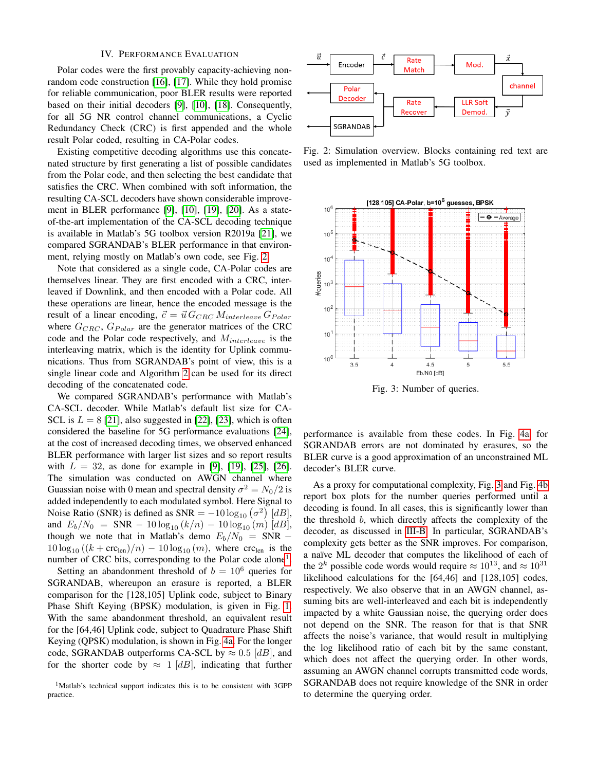# IV. PERFORMANCE EVALUATION

<span id="page-4-0"></span>Polar codes were the first provably capacity-achieving nonrandom code construction [\[16\]](#page-5-16), [\[17\]](#page-5-17). While they hold promise for reliable communication, poor BLER results were reported based on their initial decoders [\[9\]](#page-5-8), [\[10\]](#page-5-9), [\[18\]](#page-5-18). Consequently, for all 5G NR control channel communications, a Cyclic Redundancy Check (CRC) is first appended and the whole result Polar coded, resulting in CA-Polar codes.

Existing competitive decoding algorithms use this concatenated structure by first generating a list of possible candidates from the Polar code, and then selecting the best candidate that satisfies the CRC. When combined with soft information, the resulting CA-SCL decoders have shown considerable improvement in BLER performance [\[9\]](#page-5-8), [\[10\]](#page-5-9), [\[19\]](#page-5-19), [\[20\]](#page-5-20). As a stateof-the-art implementation of the CA-SCL decoding technique is available in Matlab's 5G toolbox version R2019a [\[21\]](#page-5-21), we compared SGRANDAB's BLER performance in that environment, relying mostly on Matlab's own code, see Fig. [2.](#page-4-1)

Note that considered as a single code, CA-Polar codes are themselves linear. They are first encoded with a CRC, interleaved if Downlink, and then encoded with a Polar code. All these operations are linear, hence the encoded message is the result of a linear encoding,  $\vec{c} = \vec{u} G_{CRC} M_{interleave} G_{Polar}$ where  $G_{CRC}$ ,  $G_{Polar}$  are the generator matrices of the CRC code and the Polar code respectively, and  $M_{interleave}$  is the interleaving matrix, which is the identity for Uplink communications. Thus from SGRANDAB's point of view, this is a single linear code and Algorithm [2](#page-2-0) can be used for its direct decoding of the concatenated code.

We compared SGRANDAB's performance with Matlab's CA-SCL decoder. While Matlab's default list size for CA-SCL is  $L = 8$  [\[21\]](#page-5-21), also suggested in [\[22\]](#page-5-22), [\[23\]](#page-5-23), which is often considered the baseline for 5G performance evaluations [\[24\]](#page-5-24), at the cost of increased decoding times, we observed enhanced BLER performance with larger list sizes and so report results with  $L = 32$ , as done for example in [\[9\]](#page-5-8), [\[19\]](#page-5-19), [\[25\]](#page-5-25), [\[26\]](#page-5-26). The simulation was conducted on AWGN channel where Guassian noise with 0 mean and spectral density  $\sigma^2 = N_0/2$  is added independently to each modulated symbol. Here Signal to Noise Ratio (SNR) is defined as  $SNR = -10 \log_{10} (\sigma^2)$  [dB], and  $E_b/N_0 = \text{SNR} - 10 \log_{10} (k/n) - 10 \log_{10} (m) [dB],$ though we note that in Matlab's demo  $E_b/N_0 = SNR 10 \log_{10} ((k + \text{crc}_{\text{len}})/n) - 10 \log_{10} (m)$ , where crc<sub>len</sub> is the number of CRC bits, corresponding to the Polar code alone<sup>[1](#page-4-2)</sup>.

Setting an abandonment threshold of  $b = 10^6$  queries for SGRANDAB, whereupon an erasure is reported, a BLER comparison for the [128,105] Uplink code, subject to Binary Phase Shift Keying (BPSK) modulation, is given in Fig. [1.](#page-0-0) With the same abandonment threshold, an equivalent result for the [64,46] Uplink code, subject to Quadrature Phase Shift Keying (QPSK) modulation, is shown in Fig. [4a.](#page-5-27) For the longer code, SGRANDAB outperforms CA-SCL by  $\approx 0.5$  [dB], and for the shorter code by  $\approx 1 \vert dB \vert$ , indicating that further

<span id="page-4-2"></span>

<span id="page-4-1"></span>

Fig. 2: Simulation overview. Blocks containing red text are used as implemented in Matlab's 5G toolbox.

<span id="page-4-3"></span>

Fig. 3: Number of queries.

performance is available from these codes. In Fig. [4a,](#page-5-27) for SGRANDAB errors are not dominated by erasures, so the BLER curve is a good approximation of an unconstrained ML decoder's BLER curve.

As a proxy for computational complexity, Fig. [3](#page-4-3) and Fig. [4b](#page-5-28) report box plots for the number queries performed until a decoding is found. In all cases, this is significantly lower than the threshold b, which directly affects the complexity of the decoder, as discussed in [III-B.](#page-3-0) In particular, SGRANDAB's complexity gets better as the SNR improves. For comparison, a naïve ML decoder that computes the likelihood of each of the  $2^k$  possible code words would require  $\approx 10^{13}$ , and  $\approx 10^{31}$ likelihood calculations for the [64,46] and [128,105] codes, respectively. We also observe that in an AWGN channel, assuming bits are well-interleaved and each bit is independently impacted by a white Gaussian noise, the querying order does not depend on the SNR. The reason for that is that SNR affects the noise's variance, that would result in multiplying the log likelihood ratio of each bit by the same constant, which does not affect the querying order. In other words, assuming an AWGN channel corrupts transmitted code words, SGRANDAB does not require knowledge of the SNR in order to determine the querying order.